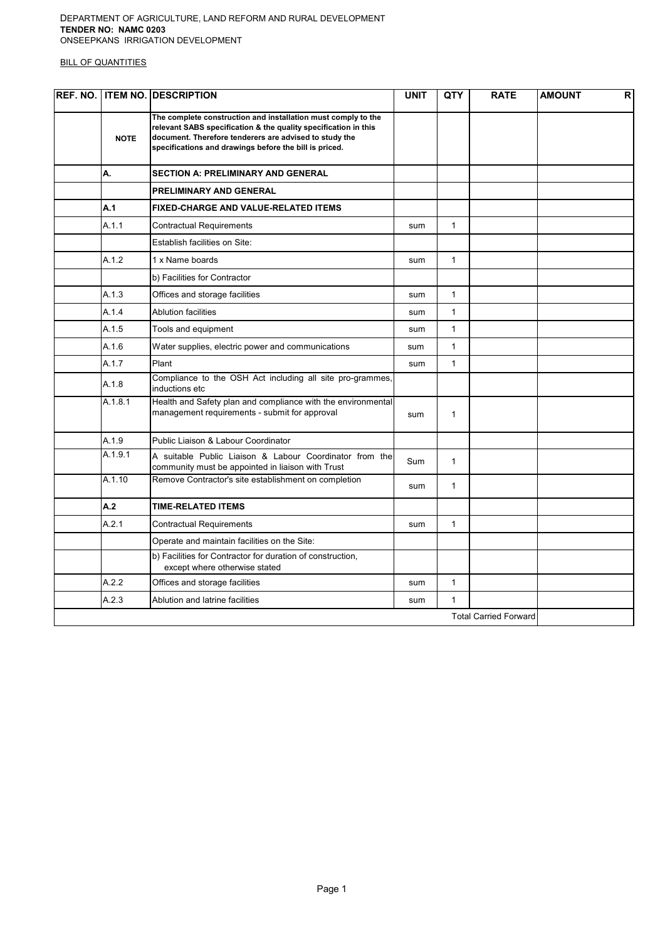#### DEPARTMENT OF AGRICULTURE, LAND REFORM AND RURAL DEVELOPMENT TENDER NO: NAMC 0203 ONSEEPKANS IRRIGATION DEVELOPMENT

|             | <b>REF. NO. ITEM NO. DESCRIPTION</b>                                                                                                                                                                                                                 | <b>UNIT</b> | <b>QTY</b>   | <b>RATE</b>                  | $\mathsf{R}$<br><b>AMOUNT</b> |
|-------------|------------------------------------------------------------------------------------------------------------------------------------------------------------------------------------------------------------------------------------------------------|-------------|--------------|------------------------------|-------------------------------|
| <b>NOTE</b> | The complete construction and installation must comply to the<br>relevant SABS specification & the quality specification in this<br>document. Therefore tenderers are advised to study the<br>specifications and drawings before the bill is priced. |             |              |                              |                               |
| А.          | <b>SECTION A: PRELIMINARY AND GENERAL</b>                                                                                                                                                                                                            |             |              |                              |                               |
|             | <b>PRELIMINARY AND GENERAL</b>                                                                                                                                                                                                                       |             |              |                              |                               |
| A.1         | <b>FIXED-CHARGE AND VALUE-RELATED ITEMS</b>                                                                                                                                                                                                          |             |              |                              |                               |
| A.1.1       | Contractual Requirements                                                                                                                                                                                                                             | sum         | $\mathbf{1}$ |                              |                               |
|             | Establish facilities on Site:                                                                                                                                                                                                                        |             |              |                              |                               |
| A.1.2       | 1 x Name boards                                                                                                                                                                                                                                      | sum         | $\mathbf{1}$ |                              |                               |
|             | b) Facilities for Contractor                                                                                                                                                                                                                         |             |              |                              |                               |
| A.1.3       | Offices and storage facilities                                                                                                                                                                                                                       | sum         | $\mathbf{1}$ |                              |                               |
| A.1.4       | <b>Ablution facilities</b>                                                                                                                                                                                                                           | sum         | $\mathbf{1}$ |                              |                               |
| A.1.5       | Tools and equipment                                                                                                                                                                                                                                  | sum         | $\mathbf{1}$ |                              |                               |
| A.1.6       | Water supplies, electric power and communications                                                                                                                                                                                                    | sum         | $\mathbf{1}$ |                              |                               |
| A.1.7       | Plant                                                                                                                                                                                                                                                | sum         | $\mathbf{1}$ |                              |                               |
| A.1.8       | Compliance to the OSH Act including all site pro-grammes,<br>inductions etc                                                                                                                                                                          |             |              |                              |                               |
| A.1.8.1     | Health and Safety plan and compliance with the environmental<br>management requirements - submit for approval                                                                                                                                        | sum         | $\mathbf{1}$ |                              |                               |
| A.1.9       | Public Liaison & Labour Coordinator                                                                                                                                                                                                                  |             |              |                              |                               |
| A.1.9.1     | A suitable Public Liaison & Labour Coordinator from the<br>community must be appointed in liaison with Trust                                                                                                                                         | Sum         | $\mathbf{1}$ |                              |                               |
| A.1.10      | Remove Contractor's site establishment on completion                                                                                                                                                                                                 | sum         | $\mathbf{1}$ |                              |                               |
| A.2         | <b>TIME-RELATED ITEMS</b>                                                                                                                                                                                                                            |             |              |                              |                               |
| A.2.1       | Contractual Requirements                                                                                                                                                                                                                             | sum         | $\mathbf{1}$ |                              |                               |
|             | Operate and maintain facilities on the Site:                                                                                                                                                                                                         |             |              |                              |                               |
|             | b) Facilities for Contractor for duration of construction,<br>except where otherwise stated                                                                                                                                                          |             |              |                              |                               |
| A.2.2       | Offices and storage facilities                                                                                                                                                                                                                       | sum         | $\mathbf{1}$ |                              |                               |
| A.2.3       | Ablution and latrine facilities                                                                                                                                                                                                                      | sum         | $\mathbf{1}$ |                              |                               |
|             |                                                                                                                                                                                                                                                      |             |              | <b>Total Carried Forward</b> |                               |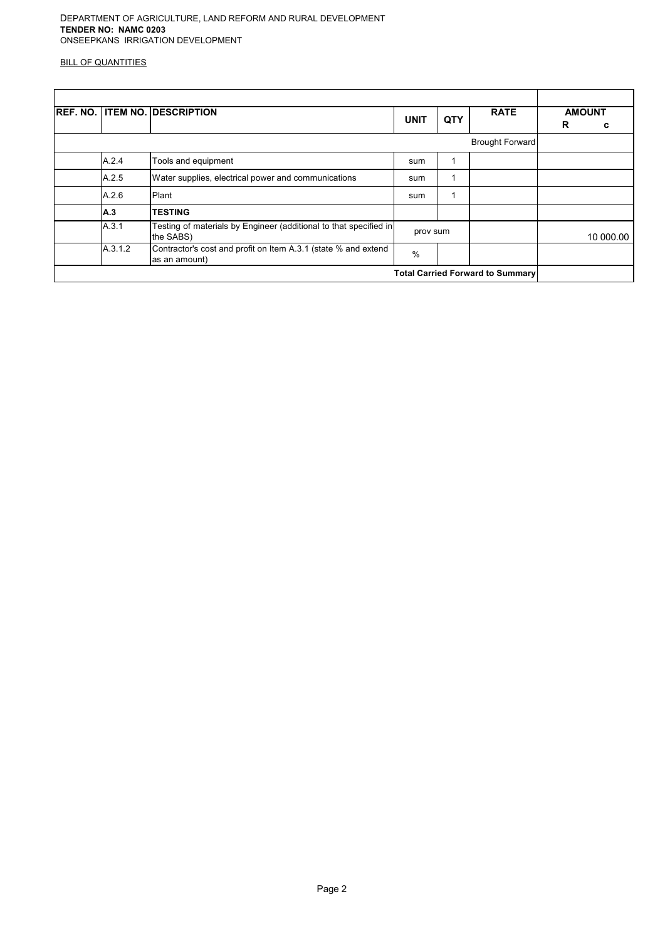|                                         | <b>REF. NO. ITEM NO. DESCRIPTION</b>                                            | <b>UNIT</b> | QTY | <b>RATE</b>            | R | <b>AMOUNT</b><br>с |
|-----------------------------------------|---------------------------------------------------------------------------------|-------------|-----|------------------------|---|--------------------|
|                                         |                                                                                 |             |     | <b>Brought Forward</b> |   |                    |
| A.2.4                                   | Tools and equipment                                                             | sum         |     |                        |   |                    |
| A.2.5                                   | Water supplies, electrical power and communications                             | sum         |     |                        |   |                    |
| A.2.6                                   | Plant                                                                           | sum         |     |                        |   |                    |
| <b>A.3</b>                              | <b>TESTING</b>                                                                  |             |     |                        |   |                    |
| A.3.1                                   | Testing of materials by Engineer (additional to that specified in<br>the SABS)  | prov sum    |     |                        |   | 10 000.00          |
| A.3.1.2                                 | Contractor's cost and profit on Item A.3.1 (state % and extend<br>as an amount) | $\%$        |     |                        |   |                    |
| <b>Total Carried Forward to Summary</b> |                                                                                 |             |     |                        |   |                    |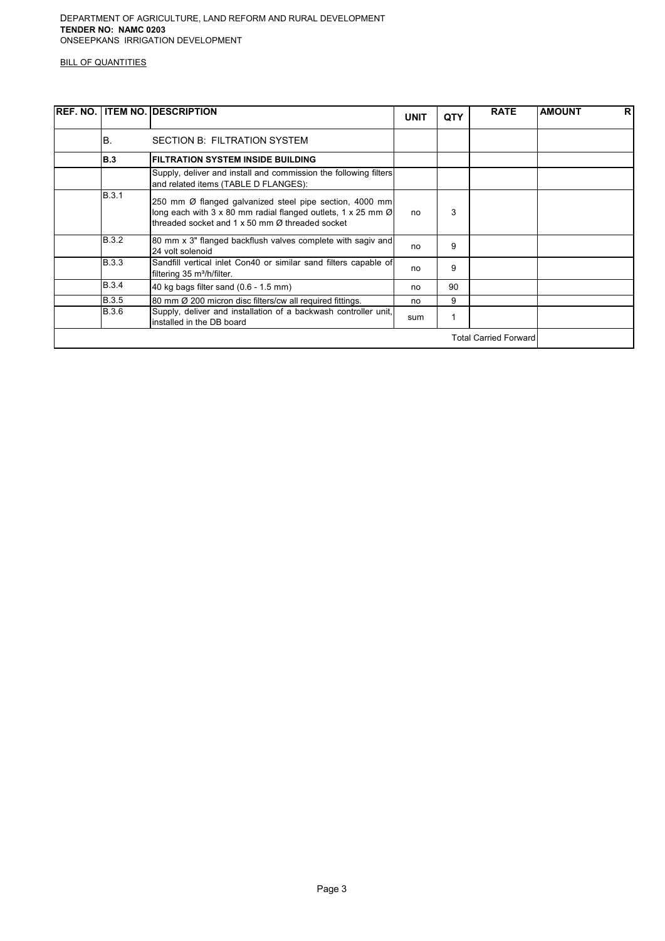|              | <b>REF. NO. ITEM NO. DESCRIPTION</b>                                                                                                                                                                    | <b>UNIT</b> | <b>QTY</b> | <b>RATE</b>                  | <b>AMOUNT</b> | <b>R</b> |
|--------------|---------------------------------------------------------------------------------------------------------------------------------------------------------------------------------------------------------|-------------|------------|------------------------------|---------------|----------|
| B.           | SECTION B: FILTRATION SYSTEM                                                                                                                                                                            |             |            |                              |               |          |
| B.3          | <b>FILTRATION SYSTEM INSIDE BUILDING</b>                                                                                                                                                                |             |            |                              |               |          |
|              | Supply, deliver and install and commission the following filters<br>and related items (TABLE D FLANGES):                                                                                                |             |            |                              |               |          |
| B.3.1        | 250 mm Ø flanged galvanized steel pipe section, 4000 mm<br>long each with 3 x 80 mm radial flanged outlets, 1 x 25 mm $\emptyset$<br>threaded socket and 1 $\times$ 50 mm $\varnothing$ threaded socket | no          | 3          |                              |               |          |
| <b>B.3.2</b> | 80 mm x 3" flanged backflush valves complete with sagiv and<br>24 volt solenoid                                                                                                                         | no          | 9          |                              |               |          |
| <b>B.3.3</b> | Sandfill vertical inlet Con40 or similar sand filters capable of<br>filtering 35 m <sup>3</sup> /h/filter.                                                                                              | no          | 9          |                              |               |          |
| <b>B.3.4</b> | 40 kg bags filter sand (0.6 - 1.5 mm)                                                                                                                                                                   | no          | 90         |                              |               |          |
| <b>B.3.5</b> | 80 mm Ø 200 micron disc filters/cw all required fittings.                                                                                                                                               | no          | 9          |                              |               |          |
| <b>B.3.6</b> | Supply, deliver and installation of a backwash controller unit,<br>installed in the DB board                                                                                                            | sum         |            |                              |               |          |
|              |                                                                                                                                                                                                         |             |            | <b>Total Carried Forward</b> |               |          |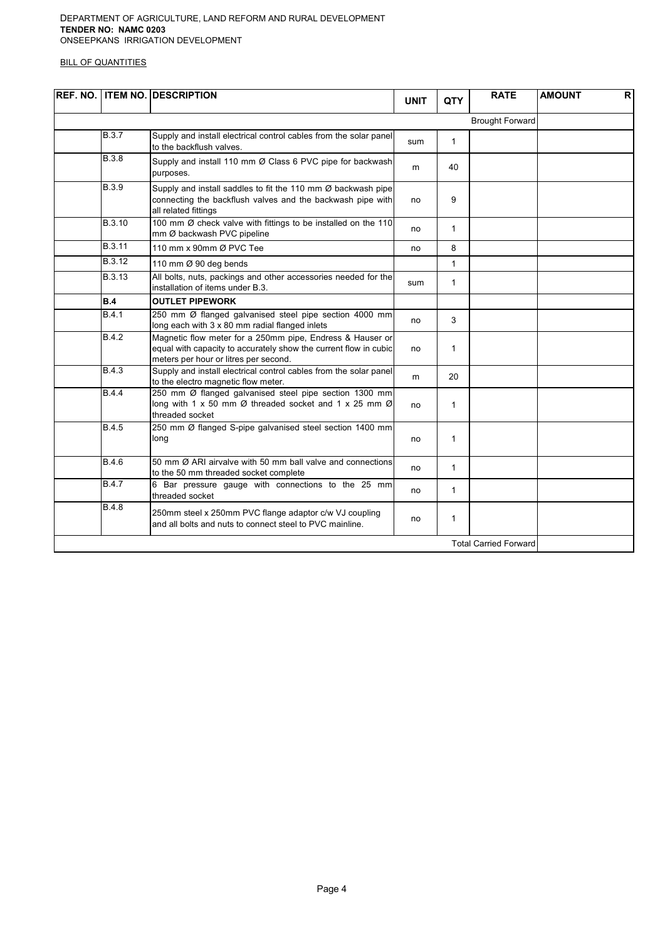#### DEPARTMENT OF AGRICULTURE, LAND REFORM AND RURAL DEVELOPMENT TENDER NO: NAMC 0203 ONSEEPKANS IRRIGATION DEVELOPMENT

|               | <b>REF. NO. ITEM NO. DESCRIPTION</b>                                                                                                                                   | <b>UNIT</b> | QTY          | <b>RATE</b>                  | <b>AMOUNT</b><br><b>R</b> |
|---------------|------------------------------------------------------------------------------------------------------------------------------------------------------------------------|-------------|--------------|------------------------------|---------------------------|
|               |                                                                                                                                                                        |             |              | <b>Brought Forward</b>       |                           |
| B.3.7         | Supply and install electrical control cables from the solar panel<br>to the backflush valves.                                                                          | sum         | $\mathbf{1}$ |                              |                           |
| <b>B.3.8</b>  | Supply and install 110 mm Ø Class 6 PVC pipe for backwash<br>purposes.                                                                                                 | m           | 40           |                              |                           |
| <b>B.3.9</b>  | Supply and install saddles to fit the 110 mm Ø backwash pipe<br>connecting the backflush valves and the backwash pipe with<br>all related fittings                     | no          | 9            |                              |                           |
| B.3.10        | 100 mm Ø check valve with fittings to be installed on the 110<br>mm Ø backwash PVC pipeline                                                                            | no          | $\mathbf{1}$ |                              |                           |
| B.3.11        | 110 mm x 90mm Ø PVC Tee                                                                                                                                                | no          | 8            |                              |                           |
| B.3.12        | 110 mm Ø 90 deg bends                                                                                                                                                  |             | $\mathbf{1}$ |                              |                           |
| <b>B.3.13</b> | All bolts, nuts, packings and other accessories needed for the<br>installation of items under B.3.                                                                     | sum         | $\mathbf{1}$ |                              |                           |
| B.4           | <b>OUTLET PIPEWORK</b>                                                                                                                                                 |             |              |                              |                           |
| <b>B.4.1</b>  | 250 mm Ø flanged galvanised steel pipe section 4000 mm<br>long each with 3 x 80 mm radial flanged inlets                                                               | no          | 3            |                              |                           |
| B.4.2         | Magnetic flow meter for a 250mm pipe, Endress & Hauser or<br>equal with capacity to accurately show the current flow in cubic<br>meters per hour or litres per second. | no          | $\mathbf{1}$ |                              |                           |
| <b>B.4.3</b>  | Supply and install electrical control cables from the solar panel<br>to the electro magnetic flow meter.                                                               | m           | 20           |                              |                           |
| B.4.4         | 250 mm Ø flanged galvanised steel pipe section 1300 mm<br>long with 1 x 50 mm $\varnothing$ threaded socket and 1 x 25 mm $\varnothing$<br>threaded socket             | no          | $\mathbf{1}$ |                              |                           |
| <b>B.4.5</b>  | 250 mm Ø flanged S-pipe galvanised steel section 1400 mm<br>long                                                                                                       | no          | $\mathbf{1}$ |                              |                           |
| <b>B.4.6</b>  | 50 mm Ø ARI airvalve with 50 mm ball valve and connections<br>to the 50 mm threaded socket complete                                                                    | no          | $\mathbf{1}$ |                              |                           |
| <b>B.4.7</b>  | 6 Bar pressure gauge with connections to the 25 mm<br>threaded socket                                                                                                  | no          | 1            |                              |                           |
| <b>B.4.8</b>  | 250mm steel x 250mm PVC flange adaptor c/w VJ coupling<br>and all bolts and nuts to connect steel to PVC mainline.                                                     | no          | $\mathbf{1}$ |                              |                           |
|               |                                                                                                                                                                        |             |              | <b>Total Carried Forward</b> |                           |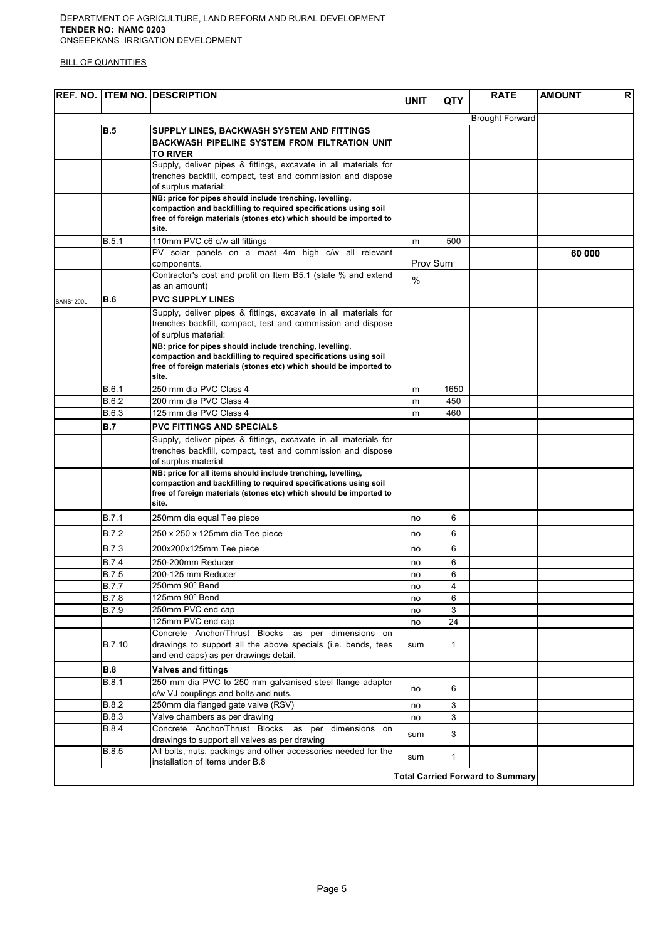#### DEPARTMENT OF AGRICULTURE, LAND REFORM AND RURAL DEVELOPMENT TENDER NO: NAMC 0203 ONSEEPKANS IRRIGATION DEVELOPMENT

|           |              | <b>REF. NO. ITEM NO. DESCRIPTION</b>                                                                               | <b>UNIT</b> | <b>QTY</b>   | <b>RATE</b>                             | <b>AMOUNT</b><br>R |
|-----------|--------------|--------------------------------------------------------------------------------------------------------------------|-------------|--------------|-----------------------------------------|--------------------|
|           |              |                                                                                                                    |             |              | <b>Brought Forward</b>                  |                    |
|           | <b>B.5</b>   | SUPPLY LINES, BACKWASH SYSTEM AND FITTINGS                                                                         |             |              |                                         |                    |
|           |              | BACKWASH PIPELINE SYSTEM FROM FILTRATION UNIT<br><b>TO RIVER</b>                                                   |             |              |                                         |                    |
|           |              | Supply, deliver pipes & fittings, excavate in all materials for                                                    |             |              |                                         |                    |
|           |              | trenches backfill, compact, test and commission and dispose                                                        |             |              |                                         |                    |
|           |              | of surplus material:                                                                                               |             |              |                                         |                    |
|           |              | NB: price for pipes should include trenching, levelling,                                                           |             |              |                                         |                    |
|           |              | compaction and backfilling to required specifications using soil                                                   |             |              |                                         |                    |
|           |              | free of foreign materials (stones etc) which should be imported to<br>site.                                        |             |              |                                         |                    |
|           | B.5.1        | 110mm PVC c6 c/w all fittings                                                                                      | m           | 500          |                                         |                    |
|           |              | PV solar panels on a mast 4m high c/w all relevant                                                                 |             |              |                                         | 60 000             |
|           |              | components.                                                                                                        | Prov Sum    |              |                                         |                    |
|           |              | Contractor's cost and profit on Item B5.1 (state % and extend                                                      | $\%$        |              |                                         |                    |
|           |              | as an amount)                                                                                                      |             |              |                                         |                    |
| SANS1200L | <b>B.6</b>   | <b>PVC SUPPLY LINES</b>                                                                                            |             |              |                                         |                    |
|           |              | Supply, deliver pipes & fittings, excavate in all materials for                                                    |             |              |                                         |                    |
|           |              | trenches backfill, compact, test and commission and dispose                                                        |             |              |                                         |                    |
|           |              | of surplus material:<br>NB: price for pipes should include trenching, levelling,                                   |             |              |                                         |                    |
|           |              | compaction and backfilling to required specifications using soil                                                   |             |              |                                         |                    |
|           |              | free of foreign materials (stones etc) which should be imported to                                                 |             |              |                                         |                    |
|           |              | site.                                                                                                              |             |              |                                         |                    |
|           | B.6.1        | 250 mm dia PVC Class 4                                                                                             | m           | 1650         |                                         |                    |
|           | B.6.2        | 200 mm dia PVC Class 4                                                                                             | m           | 450          |                                         |                    |
|           | B.6.3        | 125 mm dia PVC Class 4                                                                                             | m           | 460          |                                         |                    |
|           | <b>B.7</b>   | <b>PVC FITTINGS AND SPECIALS</b>                                                                                   |             |              |                                         |                    |
|           |              | Supply, deliver pipes & fittings, excavate in all materials for                                                    |             |              |                                         |                    |
|           |              | trenches backfill, compact, test and commission and dispose                                                        |             |              |                                         |                    |
|           |              | of surplus material:<br>NB: price for all items should include trenching, levelling,                               |             |              |                                         |                    |
|           |              | compaction and backfilling to required specifications using soil                                                   |             |              |                                         |                    |
|           |              | free of foreign materials (stones etc) which should be imported to                                                 |             |              |                                         |                    |
|           |              | site.                                                                                                              |             |              |                                         |                    |
|           | <b>B.7.1</b> | 250mm dia equal Tee piece                                                                                          | no          | 6            |                                         |                    |
|           | B.7.2        | 250 x 250 x 125mm dia Tee piece                                                                                    | no          | 6            |                                         |                    |
|           | <b>B.7.3</b> | 200x200x125mm Tee piece                                                                                            | no          | 6            |                                         |                    |
|           | <b>B.7.4</b> | 250-200mm Reducer                                                                                                  | no          | 6            |                                         |                    |
|           | <b>B.7.5</b> | 200-125 mm Reducer                                                                                                 | no          | 6            |                                         |                    |
|           | <b>B.7.7</b> | 250mm 90° Bend                                                                                                     | no          | 4            |                                         |                    |
|           | <b>B.7.8</b> | 125mm 90° Bend                                                                                                     | no          | 6            |                                         |                    |
|           | <b>B.7.9</b> | 250mm PVC end cap                                                                                                  | no          | 3            |                                         |                    |
|           |              | 125mm PVC end cap                                                                                                  | no          | 24           |                                         |                    |
|           | B.7.10       | Concrete Anchor/Thrust Blocks as per dimensions on<br>drawings to support all the above specials (i.e. bends, tees |             | $\mathbf{1}$ |                                         |                    |
|           |              | and end caps) as per drawings detail.                                                                              | sum         |              |                                         |                    |
|           | <b>B.8</b>   | <b>Valves and fittings</b>                                                                                         |             |              |                                         |                    |
|           | <b>B.8.1</b> | 250 mm dia PVC to 250 mm galvanised steel flange adaptor                                                           |             |              |                                         |                    |
|           |              | c/w VJ couplings and bolts and nuts.                                                                               | no          | 6            |                                         |                    |
|           | B.8.2        | 250mm dia flanged gate valve (RSV)                                                                                 | no          | 3            |                                         |                    |
|           | <b>B.8.3</b> | Valve chambers as per drawing                                                                                      | no          | 3            |                                         |                    |
|           | <b>B.8.4</b> | Concrete Anchor/Thrust Blocks as per<br>dimensions on                                                              |             | 3            |                                         |                    |
|           |              | drawings to support all valves as per drawing                                                                      | sum         |              |                                         |                    |
|           | <b>B.8.5</b> | All bolts, nuts, packings and other accessories needed for the<br>installation of items under B.8                  | sum         | $\mathbf{1}$ |                                         |                    |
|           |              |                                                                                                                    |             |              | <b>Total Carried Forward to Summary</b> |                    |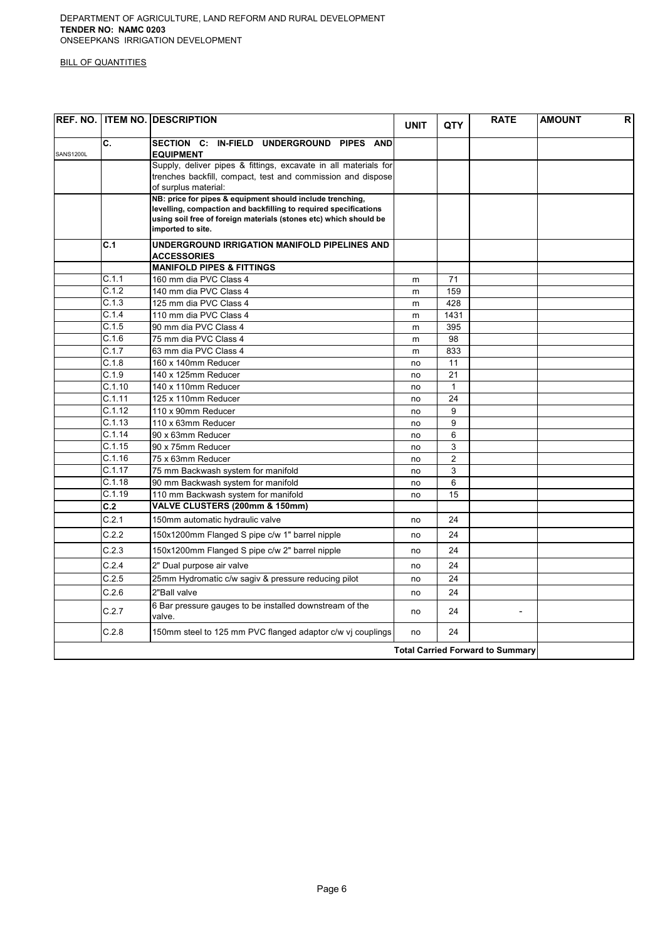|                  |        | <b>REF. NO. ITEM NO. DESCRIPTION</b>                                                                                                                                                                                    | <b>UNIT</b> | QTY            | <b>RATE</b>                             | <b>AMOUNT</b> | R |
|------------------|--------|-------------------------------------------------------------------------------------------------------------------------------------------------------------------------------------------------------------------------|-------------|----------------|-----------------------------------------|---------------|---|
| <b>SANS1200L</b> | C.     | SECTION C: IN-FIELD UNDERGROUND PIPES AND<br><b>EQUIPMENT</b>                                                                                                                                                           |             |                |                                         |               |   |
|                  |        | Supply, deliver pipes & fittings, excavate in all materials for<br>trenches backfill, compact, test and commission and dispose<br>of surplus material:                                                                  |             |                |                                         |               |   |
|                  |        | NB: price for pipes & equipment should include trenching,<br>levelling, compaction and backfilling to required specifications<br>using soil free of foreign materials (stones etc) which should be<br>imported to site. |             |                |                                         |               |   |
|                  | C.1    | UNDERGROUND IRRIGATION MANIFOLD PIPELINES AND<br><b>ACCESSORIES</b>                                                                                                                                                     |             |                |                                         |               |   |
|                  |        | <b>MANIFOLD PIPES &amp; FITTINGS</b>                                                                                                                                                                                    |             |                |                                         |               |   |
|                  | C.1.1  | 160 mm dia PVC Class 4                                                                                                                                                                                                  | m           | 71             |                                         |               |   |
|                  | C.1.2  | 140 mm dia PVC Class 4                                                                                                                                                                                                  | m           | 159            |                                         |               |   |
|                  | C.1.3  | 125 mm dia PVC Class 4                                                                                                                                                                                                  | m           | 428            |                                         |               |   |
|                  | C.1.4  | 110 mm dia PVC Class 4                                                                                                                                                                                                  | m           | 1431           |                                         |               |   |
|                  | C.1.5  | 90 mm dia PVC Class 4                                                                                                                                                                                                   | m           | 395            |                                         |               |   |
|                  | C.1.6  | 75 mm dia PVC Class 4                                                                                                                                                                                                   | m           | 98             |                                         |               |   |
|                  | C.1.7  | 63 mm dia PVC Class 4                                                                                                                                                                                                   | m           | 833            |                                         |               |   |
|                  | C.1.8  | 160 x 140mm Reducer                                                                                                                                                                                                     | no          | 11             |                                         |               |   |
|                  | C.1.9  | 140 x 125mm Reducer                                                                                                                                                                                                     | no          | 21             |                                         |               |   |
|                  | C.1.10 | 140 x 110mm Reducer                                                                                                                                                                                                     | no          | $\mathbf{1}$   |                                         |               |   |
|                  | C.1.11 | 125 x 110mm Reducer                                                                                                                                                                                                     | no          | 24             |                                         |               |   |
|                  | C.1.12 | 110 x 90mm Reducer                                                                                                                                                                                                      | no          | 9              |                                         |               |   |
|                  | C.1.13 | 110 x 63mm Reducer                                                                                                                                                                                                      | no          | 9              |                                         |               |   |
|                  | C.1.14 | 90 x 63mm Reducer                                                                                                                                                                                                       | no          | 6              |                                         |               |   |
|                  | C.1.15 | 90 x 75mm Reducer                                                                                                                                                                                                       | no          | 3              |                                         |               |   |
|                  | C.1.16 | 75 x 63mm Reducer                                                                                                                                                                                                       | no          | $\overline{2}$ |                                         |               |   |
|                  | C.1.17 | 75 mm Backwash system for manifold                                                                                                                                                                                      | no          | 3              |                                         |               |   |
|                  | C.1.18 | 90 mm Backwash system for manifold                                                                                                                                                                                      | no          | 6              |                                         |               |   |
|                  | C.1.19 | 110 mm Backwash system for manifold                                                                                                                                                                                     | no          | 15             |                                         |               |   |
|                  | C.2    | VALVE CLUSTERS (200mm & 150mm)                                                                                                                                                                                          |             |                |                                         |               |   |
|                  | C.2.1  | 150mm automatic hydraulic valve                                                                                                                                                                                         | no          | 24             |                                         |               |   |
|                  | C.2.2  | 150x1200mm Flanged S pipe c/w 1" barrel nipple                                                                                                                                                                          | no          | 24             |                                         |               |   |
|                  | C.2.3  | 150x1200mm Flanged S pipe c/w 2" barrel nipple                                                                                                                                                                          | no          | 24             |                                         |               |   |
|                  | C.2.4  | 2" Dual purpose air valve                                                                                                                                                                                               | no          | 24             |                                         |               |   |
|                  | C.2.5  | 25mm Hydromatic c/w sagiv & pressure reducing pilot                                                                                                                                                                     | no          | 24             |                                         |               |   |
|                  | C.2.6  | 2"Ball valve                                                                                                                                                                                                            | no          | 24             |                                         |               |   |
|                  | C.2.7  | 6 Bar pressure gauges to be installed downstream of the<br>valve.                                                                                                                                                       | no          | 24             | $\overline{\phantom{a}}$                |               |   |
|                  | C.2.8  | 150mm steel to 125 mm PVC flanged adaptor c/w vj couplings                                                                                                                                                              | no          | 24             |                                         |               |   |
|                  |        |                                                                                                                                                                                                                         |             |                | <b>Total Carried Forward to Summary</b> |               |   |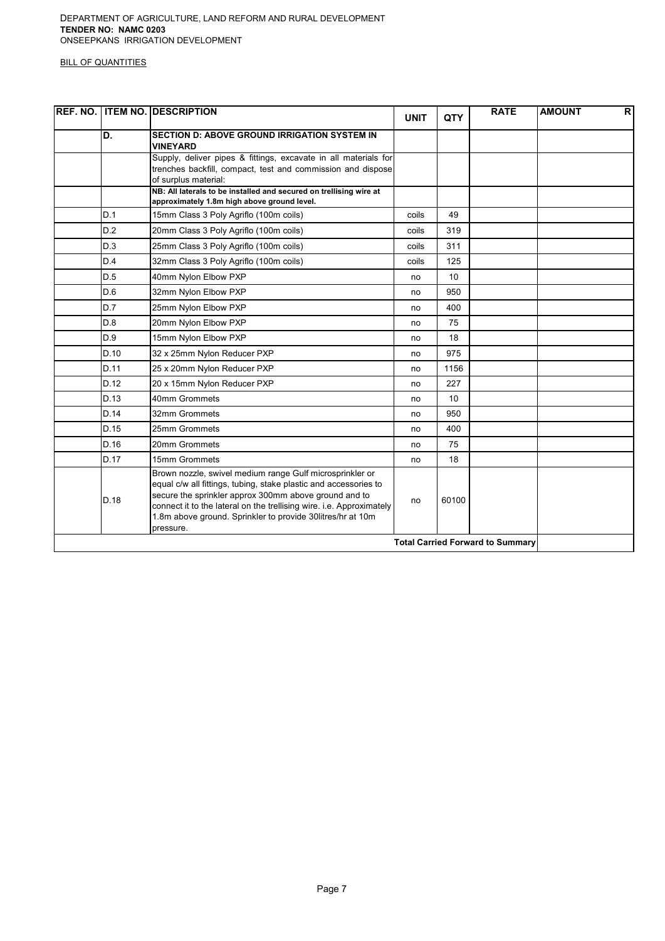|      | <b>REF. NO. ITEM NO. DESCRIPTION</b>                                                                                                                                                                                                                                                                                                     | <b>UNIT</b> | QTY   | <b>RATE</b>                             | <b>AMOUNT</b> | $\mathsf{R}$ |
|------|------------------------------------------------------------------------------------------------------------------------------------------------------------------------------------------------------------------------------------------------------------------------------------------------------------------------------------------|-------------|-------|-----------------------------------------|---------------|--------------|
| D.   | <b>SECTION D: ABOVE GROUND IRRIGATION SYSTEM IN</b><br><b>VINEYARD</b>                                                                                                                                                                                                                                                                   |             |       |                                         |               |              |
|      | Supply, deliver pipes & fittings, excavate in all materials for<br>trenches backfill, compact, test and commission and dispose<br>of surplus material:                                                                                                                                                                                   |             |       |                                         |               |              |
|      | NB: All laterals to be installed and secured on trellising wire at<br>approximately 1.8m high above ground level.                                                                                                                                                                                                                        |             |       |                                         |               |              |
| D.1  | 15mm Class 3 Poly Agriflo (100m coils)                                                                                                                                                                                                                                                                                                   | coils       | 49    |                                         |               |              |
| D.2  | 20mm Class 3 Poly Agriflo (100m coils)                                                                                                                                                                                                                                                                                                   | coils       | 319   |                                         |               |              |
| D.3  | 25mm Class 3 Poly Agriflo (100m coils)                                                                                                                                                                                                                                                                                                   | coils       | 311   |                                         |               |              |
| D.4  | 32mm Class 3 Poly Agriflo (100m coils)                                                                                                                                                                                                                                                                                                   | coils       | 125   |                                         |               |              |
| D.5  | 40mm Nylon Elbow PXP                                                                                                                                                                                                                                                                                                                     | no          | 10    |                                         |               |              |
| D.6  | 32mm Nylon Elbow PXP                                                                                                                                                                                                                                                                                                                     | no          | 950   |                                         |               |              |
| D.7  | 25mm Nylon Elbow PXP                                                                                                                                                                                                                                                                                                                     | no          | 400   |                                         |               |              |
| D.8  | 20mm Nylon Elbow PXP                                                                                                                                                                                                                                                                                                                     | no          | 75    |                                         |               |              |
| D.9  | 15mm Nylon Elbow PXP                                                                                                                                                                                                                                                                                                                     | no          | 18    |                                         |               |              |
| D.10 | 32 x 25mm Nylon Reducer PXP                                                                                                                                                                                                                                                                                                              | no          | 975   |                                         |               |              |
| D.11 | 25 x 20mm Nylon Reducer PXP                                                                                                                                                                                                                                                                                                              | no          | 1156  |                                         |               |              |
| D.12 | 20 x 15mm Nylon Reducer PXP                                                                                                                                                                                                                                                                                                              | no          | 227   |                                         |               |              |
| D.13 | 40mm Grommets                                                                                                                                                                                                                                                                                                                            | no          | 10    |                                         |               |              |
| D.14 | 32mm Grommets                                                                                                                                                                                                                                                                                                                            | no          | 950   |                                         |               |              |
| D.15 | 25mm Grommets                                                                                                                                                                                                                                                                                                                            | no          | 400   |                                         |               |              |
| D.16 | 20mm Grommets                                                                                                                                                                                                                                                                                                                            | no          | 75    |                                         |               |              |
| D.17 | 15mm Grommets                                                                                                                                                                                                                                                                                                                            | no          | 18    |                                         |               |              |
| D.18 | Brown nozzle, swivel medium range Gulf microsprinkler or<br>equal c/w all fittings, tubing, stake plastic and accessories to<br>secure the sprinkler approx 300mm above ground and to<br>connect it to the lateral on the trellising wire. i.e. Approximately<br>1.8m above ground. Sprinkler to provide 30litres/hr at 10m<br>pressure. | no          | 60100 |                                         |               |              |
|      |                                                                                                                                                                                                                                                                                                                                          |             |       | <b>Total Carried Forward to Summary</b> |               |              |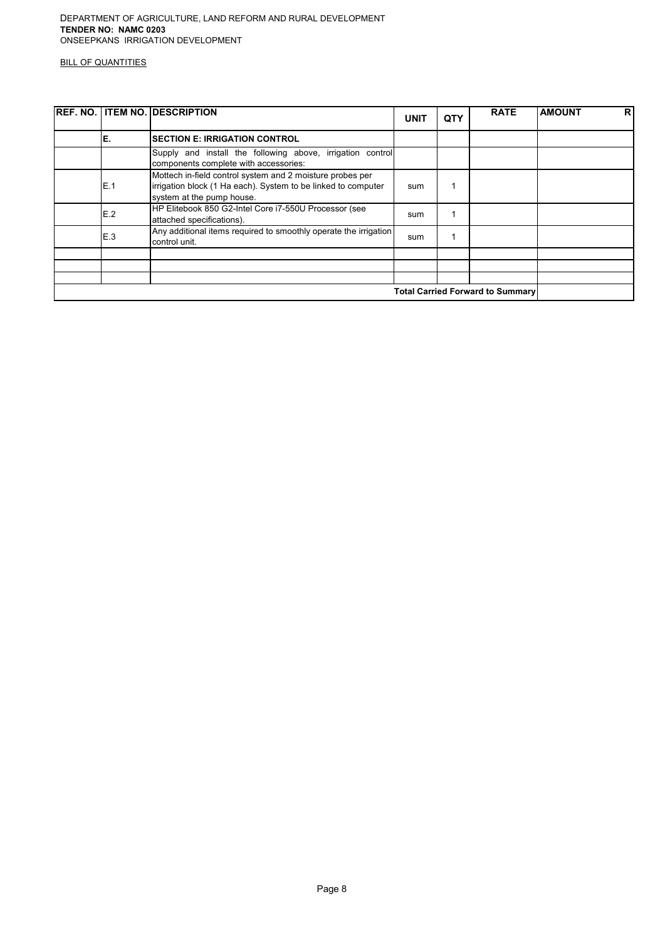|                                         | <b>IREF. NO. ITEM NO. DESCRIPTION</b>                                                                                                                   | <b>UNIT</b> | <b>QTY</b> | <b>RATE</b> | <b>AMOUNT</b> | R <sup>1</sup> |
|-----------------------------------------|---------------------------------------------------------------------------------------------------------------------------------------------------------|-------------|------------|-------------|---------------|----------------|
| Έ.                                      | <b>SECTION E: IRRIGATION CONTROL</b>                                                                                                                    |             |            |             |               |                |
|                                         | Supply and install the following above, irrigation control<br>components complete with accessories:                                                     |             |            |             |               |                |
| E.1                                     | Mottech in-field control system and 2 moisture probes per<br>irrigation block (1 Ha each). System to be linked to computer<br>system at the pump house. | sum         |            |             |               |                |
| E.2                                     | HP Elitebook 850 G2-Intel Core i7-550U Processor (see<br>attached specifications).                                                                      | sum         |            |             |               |                |
| E.3                                     | Any additional items required to smoothly operate the irrigation<br>control unit.                                                                       | sum         |            |             |               |                |
|                                         |                                                                                                                                                         |             |            |             |               |                |
|                                         |                                                                                                                                                         |             |            |             |               |                |
|                                         |                                                                                                                                                         |             |            |             |               |                |
| <b>Total Carried Forward to Summary</b> |                                                                                                                                                         |             |            |             |               |                |